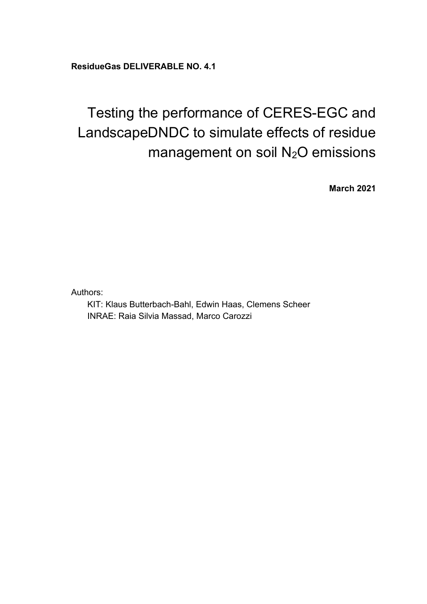**ResidueGas DELIVERABLE NO. 4.1** 

# Testing the performance of CERES-EGC and LandscapeDNDC to simulate effects of residue management on soil N<sub>2</sub>O emissions

**March 2021** 

Authors:

KIT: Klaus Butterbach-Bahl, Edwin Haas, Clemens Scheer INRAE: Raia Silvia Massad, Marco Carozzi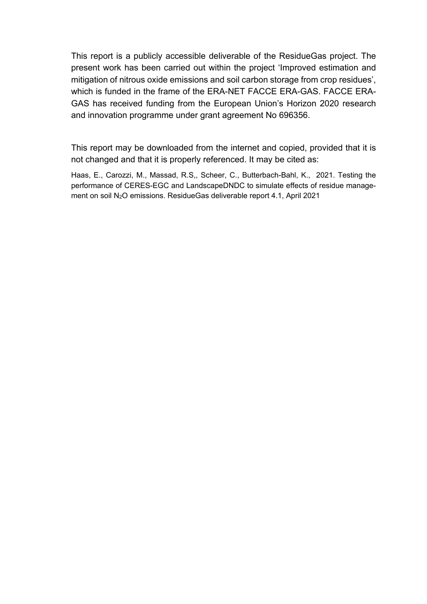This report is a publicly accessible deliverable of the ResidueGas project. The present work has been carried out within the project 'Improved estimation and mitigation of nitrous oxide emissions and soil carbon storage from crop residues', which is funded in the frame of the ERA-NET FACCE ERA-GAS. FACCE ERA-GAS has received funding from the European Union's Horizon 2020 research and innovation programme under grant agreement No 696356.

This report may be downloaded from the internet and copied, provided that it is not changed and that it is properly referenced. It may be cited as:

Haas, E., Carozzi, M., Massad, R.S,, Scheer, C., Butterbach-Bahl, K., 2021. Testing the performance of CERES-EGC and LandscapeDNDC to simulate effects of residue management on soil N2O emissions. ResidueGas deliverable report 4.1, April 2021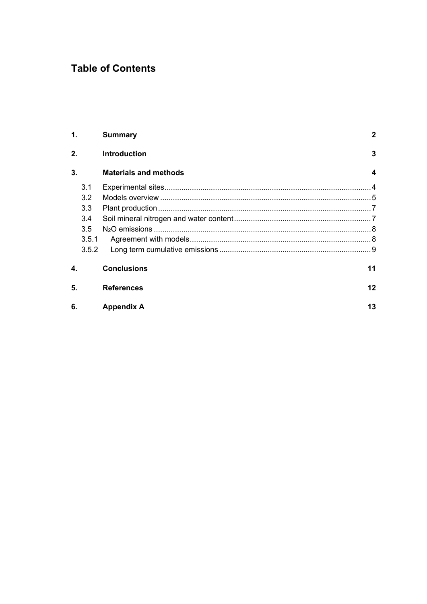### **Table of Contents**

| 1. |       | <b>Summary</b>               | $\mathbf 2$ |
|----|-------|------------------------------|-------------|
| 2. |       | <b>Introduction</b>          | 3           |
| 3. |       | <b>Materials and methods</b> | 4           |
|    | 3.1   |                              |             |
|    | 3.2   |                              |             |
|    | 3.3   |                              |             |
|    | 3.4   |                              |             |
|    | 3.5   |                              |             |
|    | 3.5.1 |                              |             |
|    | 3.5.2 |                              |             |
| 4. |       | <b>Conclusions</b>           | 11          |
| 5. |       | <b>References</b>            | 12          |
| 6. |       | <b>Appendix A</b>            | 13          |
|    |       |                              |             |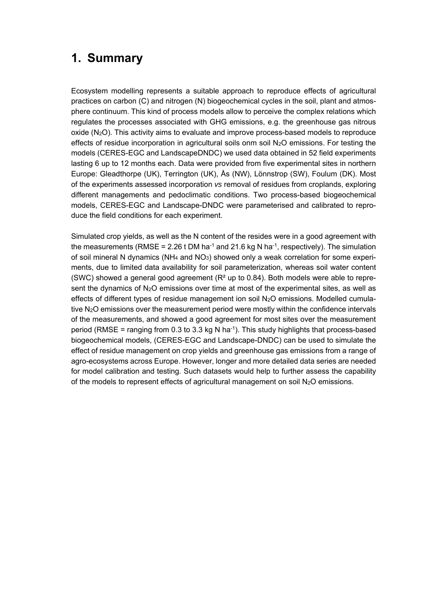### **1. Summary**

Ecosystem modelling represents a suitable approach to reproduce effects of agricultural practices on carbon (C) and nitrogen (N) biogeochemical cycles in the soil, plant and atmosphere continuum. This kind of process models allow to perceive the complex relations which regulates the processes associated with GHG emissions, e.g. the greenhouse gas nitrous oxide (N2O). This activity aims to evaluate and improve process-based models to reproduce effects of residue incorporation in agricultural soils onm soil N2O emissions. For testing the models (CERES-EGC and LandscapeDNDC) we used data obtained in 52 field experiments lasting 6 up to 12 months each. Data were provided from five experimental sites in northern Europe: Gleadthorpe (UK), Terrington (UK), Ås (NW), Lönnstrop (SW), Foulum (DK). Most of the experiments assessed incorporation *vs* removal of residues from croplands, exploring different managements and pedoclimatic conditions. Two process-based biogeochemical models, CERES-EGC and Landscape-DNDC were parameterised and calibrated to reproduce the field conditions for each experiment.

Simulated crop yields, as well as the N content of the resides were in a good agreement with the measurements (RMSE = 2.26 t DM ha<sup>-1</sup> and 21.6 kg N ha<sup>-1</sup>, respectively). The simulation of soil mineral N dynamics (NH4 and NO3) showed only a weak correlation for some experiments, due to limited data availability for soil parameterization, whereas soil water content (SWC) showed a general good agreement ( $R^2$  up to 0.84). Both models were able to represent the dynamics of  $N_2O$  emissions over time at most of the experimental sites, as well as effects of different types of residue management ion soil  $N_2O$  emissions. Modelled cumulative N<sub>2</sub>O emissions over the measurement period were mostly within the confidence intervals of the measurements, and showed a good agreement for most sites over the measurement period (RMSE = ranging from 0.3 to 3.3 kg N ha<sup>-1</sup>). This study highlights that process-based biogeochemical models, (CERES-EGC and Landscape-DNDC) can be used to simulate the effect of residue management on crop yields and greenhouse gas emissions from a range of agro-ecosystems across Europe. However, longer and more detailed data series are needed for model calibration and testing. Such datasets would help to further assess the capability of the models to represent effects of agricultural management on soil N2O emissions.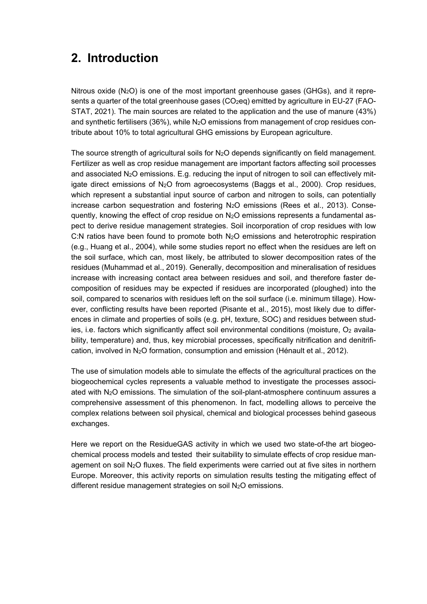### **2. Introduction**

Nitrous oxide  $(N_2O)$  is one of the most important greenhouse gases (GHGs), and it represents a quarter of the total greenhouse gases (CO<sub>2</sub>eq) emitted by agriculture in EU-27 (FAO-STAT, 2021). The main sources are related to the application and the use of manure (43%) and synthetic fertilisers (36%), while  $N_2O$  emissions from management of crop residues contribute about 10% to total agricultural GHG emissions by European agriculture.

The source strength of agricultural soils for  $N_2O$  depends significantly on field management. Fertilizer as well as crop residue management are important factors affecting soil processes and associated  $N_2O$  emissions. E.g. reducing the input of nitrogen to soil can effectively mitigate direct emissions of N2O from agroecosystems (Baggs et al., 2000). Crop residues, which represent a substantial input source of carbon and nitrogen to soils, can potentially increase carbon sequestration and fostering N2O emissions (Rees et al., 2013). Consequently, knowing the effect of crop residue on  $N_2O$  emissions represents a fundamental aspect to derive residue management strategies. Soil incorporation of crop residues with low C:N ratios have been found to promote both  $N_2O$  emissions and heterotrophic respiration (e.g., Huang et al., 2004), while some studies report no effect when the residues are left on the soil surface, which can, most likely, be attributed to slower decomposition rates of the residues (Muhammad et al., 2019). Generally, decomposition and mineralisation of residues increase with increasing contact area between residues and soil, and therefore faster decomposition of residues may be expected if residues are incorporated (ploughed) into the soil, compared to scenarios with residues left on the soil surface (i.e. minimum tillage). However, conflicting results have been reported (Pisante et al., 2015), most likely due to differences in climate and properties of soils (e.g. pH, texture, SOC) and residues between studies, i.e. factors which significantly affect soil environmental conditions (moisture,  $O<sub>2</sub>$  availability, temperature) and, thus, key microbial processes, specifically nitrification and denitrification, involved in N2O formation, consumption and emission (Hénault et al., 2012).

The use of simulation models able to simulate the effects of the agricultural practices on the biogeochemical cycles represents a valuable method to investigate the processes associated with  $N_2O$  emissions. The simulation of the soil-plant-atmosphere continuum assures a comprehensive assessment of this phenomenon. In fact, modelling allows to perceive the complex relations between soil physical, chemical and biological processes behind gaseous exchanges.

Here we report on the ResidueGAS activity in which we used two state-of-the art biogeochemical process models and tested their suitability to simulate effects of crop residue management on soil N2O fluxes. The field experiments were carried out at five sites in northern Europe. Moreover, this activity reports on simulation results testing the mitigating effect of different residue management strategies on soil N<sub>2</sub>O emissions.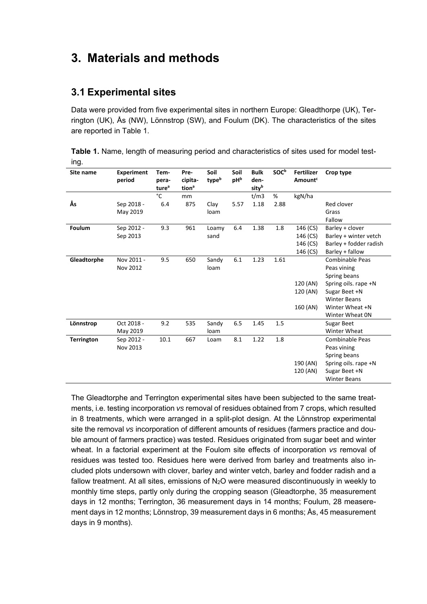### **3. Materials and methods**

### **3.1 Experimental sites**

Data were provided from five experimental sites in northern Europe: Gleadthorpe (UK), Terrington (UK), Ås (NW), Lönnstrop (SW), and Foulum (DK). The characteristics of the sites are reported in Table 1.

**Table 1.** Name, length of measuring period and characteristics of sites used for model testing.

| Site name         | <b>Experiment</b><br>period | Tem-<br>pera-     | Pre-<br>cipita-   | Soil<br>type <sup>b</sup> | Soil<br>pHb | <b>Bulk</b><br>den- | <b>SOC</b> <sup>b</sup> | <b>Fertilizer</b><br>Amount <sup>c</sup> | Crop type              |
|-------------------|-----------------------------|-------------------|-------------------|---------------------------|-------------|---------------------|-------------------------|------------------------------------------|------------------------|
|                   |                             | ture <sup>a</sup> | tion <sup>a</sup> |                           |             | sityb               |                         |                                          |                        |
|                   |                             | °C                | mm                |                           |             | t/m3                | %                       | kgN/ha                                   |                        |
| Ås                | Sep 2018 -                  | 6.4               | 875               | Clay                      | 5.57        | 1.18                | 2.88                    |                                          | Red clover             |
|                   | May 2019                    |                   |                   | loam                      |             |                     |                         |                                          | Grass                  |
|                   |                             |                   |                   |                           |             |                     |                         |                                          | Fallow                 |
| Foulum            | Sep 2012 -                  | 9.3               | 961               | Loamy                     | 6.4         | 1.38                | 1.8                     | 146 (CS)                                 | Barley + clover        |
|                   | Sep 2013                    |                   |                   | sand                      |             |                     |                         | 146 (CS)                                 | Barley + winter vetch  |
|                   |                             |                   |                   |                           |             |                     |                         | 146 (CS)                                 | Barley + fodder radish |
|                   |                             |                   |                   |                           |             |                     |                         | 146 (CS)                                 | Barley + fallow        |
| Gleadtorphe       | Nov 2011 -                  | 9.5               | 650               | Sandy                     | 6.1         | 1.23                | 1.61                    |                                          | Combinable Peas        |
|                   | Nov 2012                    |                   |                   | loam                      |             |                     |                         |                                          | Peas vining            |
|                   |                             |                   |                   |                           |             |                     |                         |                                          | Spring beans           |
|                   |                             |                   |                   |                           |             |                     |                         | 120 (AN)                                 | Spring oils. rape +N   |
|                   |                             |                   |                   |                           |             |                     |                         | 120 (AN)                                 | Sugar Beet +N          |
|                   |                             |                   |                   |                           |             |                     |                         |                                          | <b>Winter Beans</b>    |
|                   |                             |                   |                   |                           |             |                     |                         | 160 (AN)                                 | Winter Wheat +N        |
|                   |                             |                   |                   |                           |             |                     |                         |                                          | Winter Wheat ON        |
| Lönnstrop         | Oct 2018 -                  | 9.2               | 535               | Sandy                     | 6.5         | 1.45                | 1.5                     |                                          | Sugar Beet             |
|                   | May 2019                    |                   |                   | loam                      |             |                     |                         |                                          | Winter Wheat           |
| <b>Terrington</b> | Sep 2012 -                  | 10.1              | 667               | Loam                      | 8.1         | 1.22                | 1.8                     |                                          | <b>Combinable Peas</b> |
|                   | Nov 2013                    |                   |                   |                           |             |                     |                         |                                          | Peas vining            |
|                   |                             |                   |                   |                           |             |                     |                         |                                          | Spring beans           |
|                   |                             |                   |                   |                           |             |                     |                         | 190 (AN)                                 | Spring oils. rape +N   |
|                   |                             |                   |                   |                           |             |                     |                         | 120 (AN)                                 | Sugar Beet +N          |
|                   |                             |                   |                   |                           |             |                     |                         |                                          | <b>Winter Beans</b>    |

The Gleadtorphe and Terrington experimental sites have been subjected to the same treatments, i.e. testing incorporation *vs* removal of residues obtained from 7 crops, which resulted in 8 treatments, which were arranged in a split-plot design. At the Lönnstrop experimental site the removal *vs* incorporation of different amounts of residues (farmers practice and double amount of farmers practice) was tested. Residues originated from sugar beet and winter wheat. In a factorial experiment at the Foulom site effects of incorporation *vs* removal of residues was tested too. Residues here were derived from barley and treatments also included plots undersown with clover, barley and winter vetch, barley and fodder radish and a fallow treatment. At all sites, emissions of N<sub>2</sub>O were measured discontinuously in weekly to monthly time steps, partly only during the cropping season (Gleadtorphe, 35 measurement days in 12 months; Terrington, 36 measurement days in 14 months; Foulum, 28 measerement days in 12 months; Lönnstrop, 39 measurement days in 6 months; Ås, 45 measurement days in 9 months).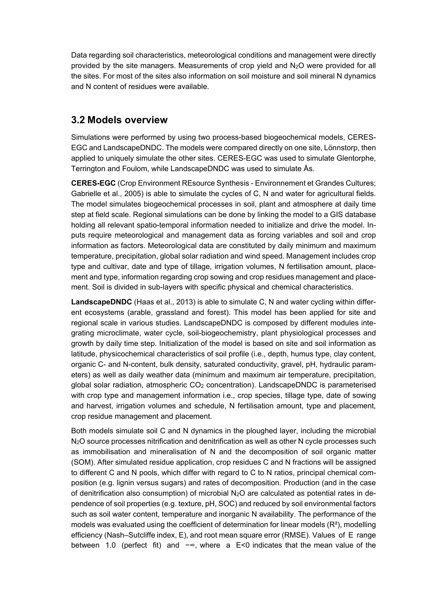Data regarding soil characteristics, meteorological conditions and management were directly provided by the site managers. Measurements of crop yield and N2O were provided for all the sites. For most of the sites also information on soil moisture and soil mineral N dynamics and N content of residues were available.

### **3.2 Models overview**

Simulations were performed by using two process-based biogeochemical models, CERES-EGC and LandscapeDNDC. The models were compared directly on one site, Lönnstorp, then applied to uniquely simulate the other sites. CERES-EGC was used to simulate Glentorphe, Terrington and Foulom, while LandscapeDNDC was used to simulate Ås.

**CERES-EGC** (Crop Environment REsource Synthesis - Environnement et Grandes Cultures; Gabrielle et al., 2005) is able to simulate the cycles of C, N and water for agricultural fields. The model simulates biogeochemical processes in soil, plant and atmosphere at daily time step at field scale. Regional simulations can be done by linking the model to a GIS database holding all relevant spatio-temporal information needed to initialize and drive the model. Inputs require meteorological and management data as forcing variables and soil and crop information as factors. Meteorological data are constituted by daily minimum and maximum temperature, precipitation, global solar radiation and wind speed. Management includes crop type and cultivar, date and type of tillage, irrigation volumes, N fertilisation amount, placement and type, information regarding crop sowing and crop residues management and placement. Soil is divided in sub-layers with specific physical and chemical characteristics.

**LandscapeDNDC** (Haas et al., 2013) is able to simulate C, N and water cycling within different ecosystems (arable, grassland and forest). This model has been applied for site and regional scale in various studies. LandscapeDNDC is composed by different modules integrating microclimate, water cycle, soil-biogeochemistry, plant physiological processes and growth by daily time step. Initialization of the model is based on site and soil information as latitude, physicochemical characteristics of soil profile (i.e., depth, humus type, clay content, organic C- and N-content, bulk density, saturated conductivity, gravel, pH, hydraulic parameters) as well as daily weather data (minimum and maximum air temperature, precipitation, global solar radiation, atmospheric  $CO<sub>2</sub>$  concentration). LandscapeDNDC is parameterised with crop type and management information i.e., crop species, tillage type, date of sowing and harvest, irrigation volumes and schedule, N fertilisation amount, type and placement, crop residue management and placement.

Both models simulate soil C and N dynamics in the ploughed layer, including the microbial N2O source processes nitrification and denitrification as well as other N cycle processes such as immobilisation and mineralisation of N and the decomposition of soil organic matter (SOM). After simulated residue application, crop residues C and N fractions will be assigned to different C and N pools, which differ with regard to C to N ratios, principal chemical composition (e.g. lignin versus sugars) and rates of decomposition. Production (and in the case of denitrification also consumption) of microbial  $N_2O$  are calculated as potential rates in dependence of soil properties (e.g. texture, pH, SOC) and reduced by soil environmental factors such as soil water content, temperature and inorganic N availability. The performance of the models was evaluated using the coefficient of determination for linear models  $(R<sup>2</sup>)$ , modelling efficiency (Nash–Sutcliffe index, E), and root mean square error (RMSE). Values of E range between 1.0 (perfect fit) and −∞, where a E<0 indicates that the mean value of the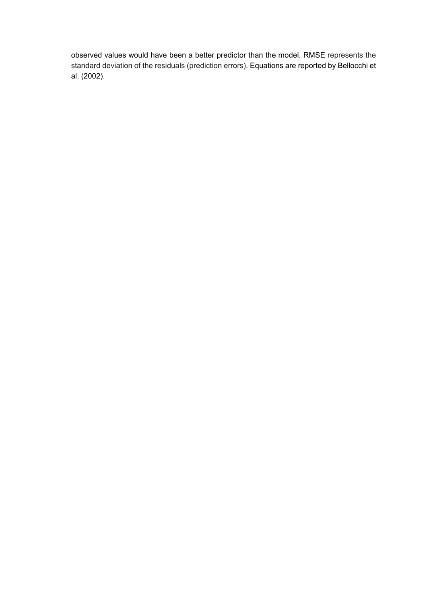observed values would have been a better predictor than the model. RMSE represents the standard deviation of the residuals (prediction errors). Equations are reported by Bellocchi et al. (2002).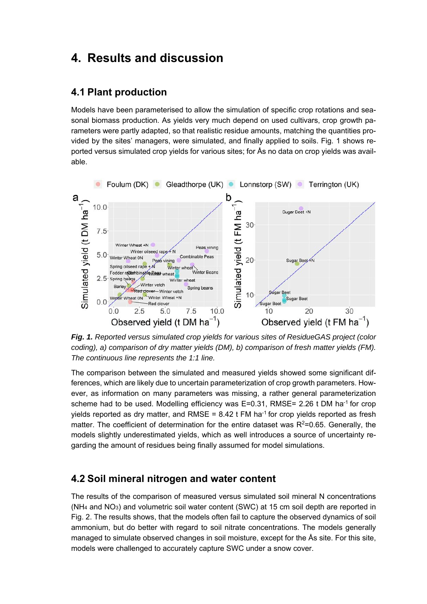### **4. Results and discussion**

#### **4.1 Plant production**

Models have been parameterised to allow the simulation of specific crop rotations and seasonal biomass production. As yields very much depend on used cultivars, crop growth parameters were partly adapted, so that realistic residue amounts, matching the quantities provided by the sites' managers, were simulated, and finally applied to soils. Fig. 1 shows reported versus simulated crop yields for various sites; for Ås no data on crop yields was available.



*Fig. 1. Reported versus simulated crop yields for various sites of ResidueGAS project (color coding), a) comparison of dry matter yields (DM), b) comparison of fresh matter yields (FM). The continuous line represents the 1:1 line.* 

The comparison between the simulated and measured yields showed some significant differences, which are likely due to uncertain parameterization of crop growth parameters. However, as information on many parameters was missing, a rather general parameterization scheme had to be used. Modelling efficiency was E=0.31, RMSE= 2.26 t DM ha<sup>-1</sup> for crop yields reported as dry matter, and RMSE =  $8.42$  t FM ha<sup>-1</sup> for crop yields reported as fresh matter. The coefficient of determination for the entire dataset was  $R^2$ =0.65. Generally, the models slightly underestimated yields, which as well introduces a source of uncertainty regarding the amount of residues being finally assumed for model simulations.

#### **4.2 Soil mineral nitrogen and water content**

The results of the comparison of measured versus simulated soil mineral N concentrations  $(NH<sub>4</sub>$  and NO<sub>3</sub>) and volumetric soil water content (SWC) at 15 cm soil depth are reported in Fig. 2. The results shows, that the models often fail to capture the observed dynamics of soil ammonium, but do better with regard to soil nitrate concentrations. The models generally managed to simulate observed changes in soil moisture, except for the Ås site. For this site, models were challenged to accurately capture SWC under a snow cover.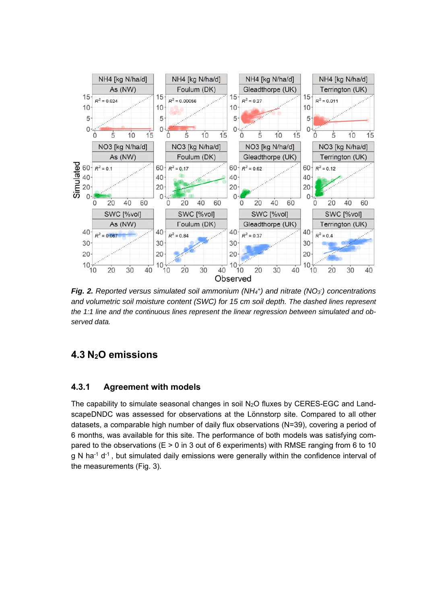

*Fig. 2. Reported versus simulated soil ammonium (NH<sub>4</sub>+) and nitrate (NO<sub>3</sub>) concentrations and volumetric soil moisture content (SWC) for 15 cm soil depth. The dashed lines represent the 1:1 line and the continuous lines represent the linear regression between simulated and observed data.*

#### **4.3 N2O emissions**

#### **4.3.1 Agreement with models**

The capability to simulate seasonal changes in soil N2O fluxes by CERES-EGC and LandscapeDNDC was assessed for observations at the Lönnstorp site. Compared to all other datasets, a comparable high number of daily flux observations (N=39), covering a period of 6 months, was available for this site. The performance of both models was satisfying compared to the observations ( $E > 0$  in 3 out of 6 experiments) with RMSE ranging from 6 to 10  $g$  N ha<sup>-1</sup> d<sup>-1</sup>, but simulated daily emissions were generally within the confidence interval of the measurements (Fig. 3).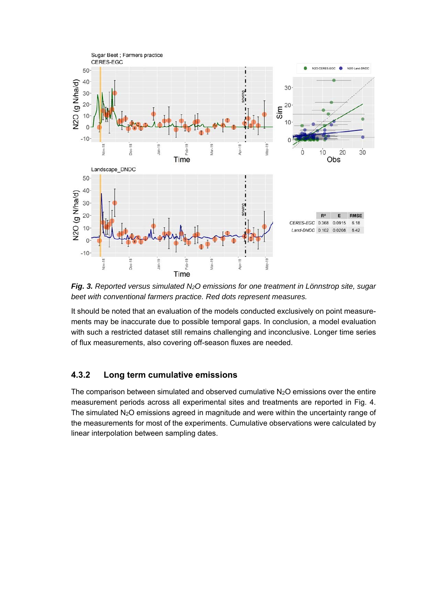

*Fig. 3. Reported versus simulated N2O emissions for one treatment in Lönnstrop site, sugar beet with conventional farmers practice. Red dots represent measures.* 

It should be noted that an evaluation of the models conducted exclusively on point measurements may be inaccurate due to possible temporal gaps. In conclusion, a model evaluation with such a restricted dataset still remains challenging and inconclusive. Longer time series of flux measurements, also covering off-season fluxes are needed.

#### **4.3.2 Long term cumulative emissions**

The comparison between simulated and observed cumulative  $N_2O$  emissions over the entire measurement periods across all experimental sites and treatments are reported in Fig. 4. The simulated  $N_2O$  emissions agreed in magnitude and were within the uncertainty range of the measurements for most of the experiments. Cumulative observations were calculated by linear interpolation between sampling dates.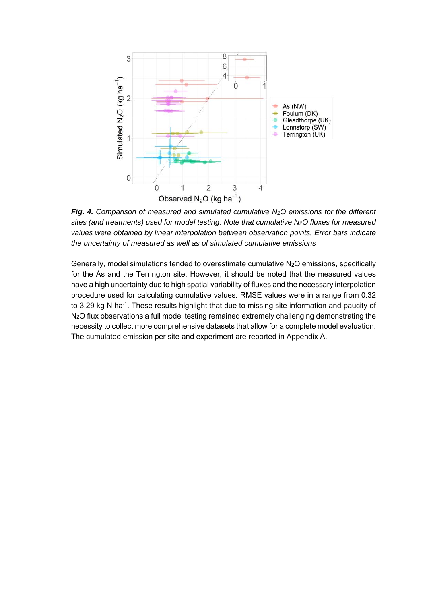

*Fig. 4. Comparison of measured and simulated cumulative N2O emissions for the different sites (and treatments) used for model testing. Note that cumulative N2O fluxes for measured values were obtained by linear interpolation between observation points, Error bars indicate the uncertainty of measured as well as of simulated cumulative emissions* 

Generally, model simulations tended to overestimate cumulative  $N_2O$  emissions, specifically for the Ås and the Terrington site. However, it should be noted that the measured values have a high uncertainty due to high spatial variability of fluxes and the necessary interpolation procedure used for calculating cumulative values. RMSE values were in a range from 0.32 to 3.29 kg N ha<sup>-1</sup>. These results highlight that due to missing site information and paucity of N2O flux observations a full model testing remained extremely challenging demonstrating the necessity to collect more comprehensive datasets that allow for a complete model evaluation. The cumulated emission per site and experiment are reported in Appendix A.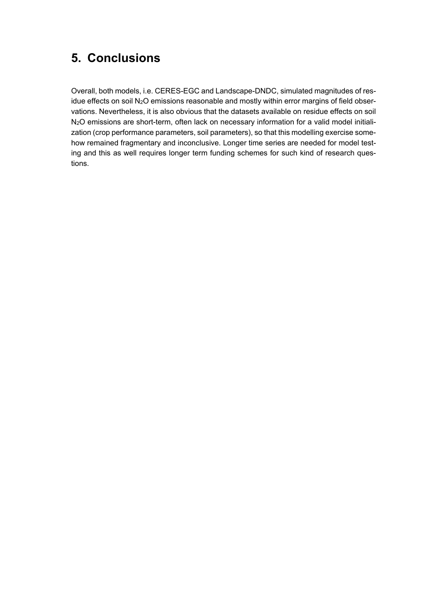## **5. Conclusions**

Overall, both models, i.e. CERES-EGC and Landscape-DNDC, simulated magnitudes of residue effects on soil N<sub>2</sub>O emissions reasonable and mostly within error margins of field observations. Nevertheless, it is also obvious that the datasets available on residue effects on soil N<sub>2</sub>O emissions are short-term, often lack on necessary information for a valid model initialization (crop performance parameters, soil parameters), so that this modelling exercise somehow remained fragmentary and inconclusive. Longer time series are needed for model testing and this as well requires longer term funding schemes for such kind of research questions.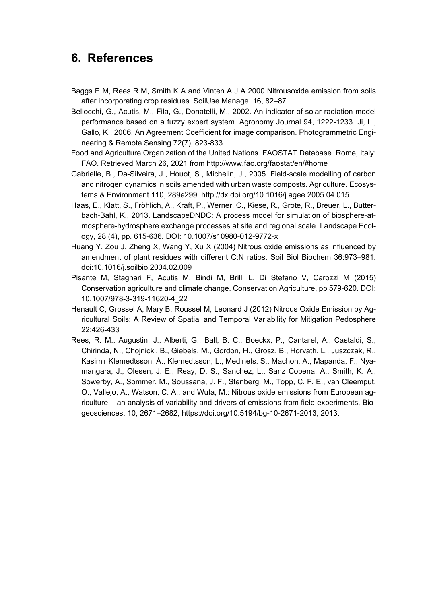### **6. References**

- Baggs E M, Rees R M, Smith K A and Vinten A J A 2000 Nitrousoxide emission from soils after incorporating crop residues. SoilUse Manage. 16, 82–87.
- Bellocchi, G., Acutis, M., Fila, G., Donatelli, M., 2002. An indicator of solar radiation model performance based on a fuzzy expert system. Agronomy Journal 94, 1222-1233. Ji, L., Gallo, K., 2006. An Agreement Coefficient for image comparison. Photogrammetric Engineering & Remote Sensing 72(7), 823-833.
- Food and Agriculture Organization of the United Nations. FAOSTAT Database. Rome, Italy: FAO. Retrieved March 26, 2021 from http://www.fao.org/faostat/en/#home
- Gabrielle, B., Da-Silveira, J., Houot, S., Michelin, J., 2005. Field-scale modelling of carbon and nitrogen dynamics in soils amended with urban waste composts. Agriculture. Ecosystems & Environment 110, 289e299. http://dx.doi.org/10.1016/j.agee.2005.04.015
- Haas, E., Klatt, S., Fröhlich, A., Kraft, P., Werner, C., Kiese, R., Grote, R., Breuer, L., Butterbach-Bahl, K., 2013. LandscapeDNDC: A process model for simulation of biosphere-atmosphere-hydrosphere exchange processes at site and regional scale. Landscape Ecology, 28 (4), pp. 615-636. DOI: 10.1007/s10980-012-9772-x
- Huang Y, Zou J, Zheng X, Wang Y, Xu X (2004) Nitrous oxide emissions as influenced by amendment of plant residues with different C:N ratios. Soil Biol Biochem 36:973–981. doi:10.1016/j.soilbio.2004.02.009
- Pisante M, Stagnari F, Acutis M, Bindi M, Brilli L, Di Stefano V, Carozzi M (2015) Conservation agriculture and climate change. Conservation Agriculture, pp 579-620. DOI: 10.1007/978-3-319-11620-4\_22
- Henault C, Grossel A, Mary B, Roussel M, Leonard J (2012) Nitrous Oxide Emission by Agricultural Soils: A Review of Spatial and Temporal Variability for Mitigation Pedosphere 22:426-433
- Rees, R. M., Augustin, J., Alberti, G., Ball, B. C., Boeckx, P., Cantarel, A., Castaldi, S., Chirinda, N., Chojnicki, B., Giebels, M., Gordon, H., Grosz, B., Horvath, L., Juszczak, R., Kasimir Klemedtsson, Å., Klemedtsson, L., Medinets, S., Machon, A., Mapanda, F., Nyamangara, J., Olesen, J. E., Reay, D. S., Sanchez, L., Sanz Cobena, A., Smith, K. A., Sowerby, A., Sommer, M., Soussana, J. F., Stenberg, M., Topp, C. F. E., van Cleemput, O., Vallejo, A., Watson, C. A., and Wuta, M.: Nitrous oxide emissions from European agriculture – an analysis of variability and drivers of emissions from field experiments, Biogeosciences, 10, 2671–2682, https://doi.org/10.5194/bg-10-2671-2013, 2013.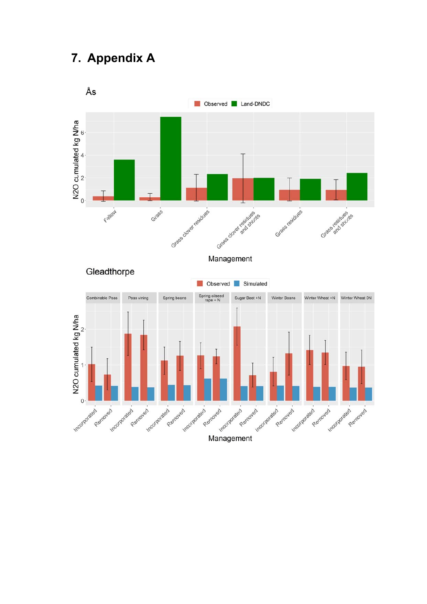# **7. Appendix A**

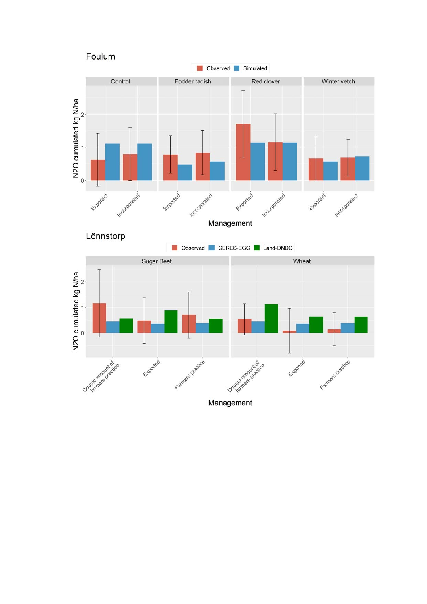

Management